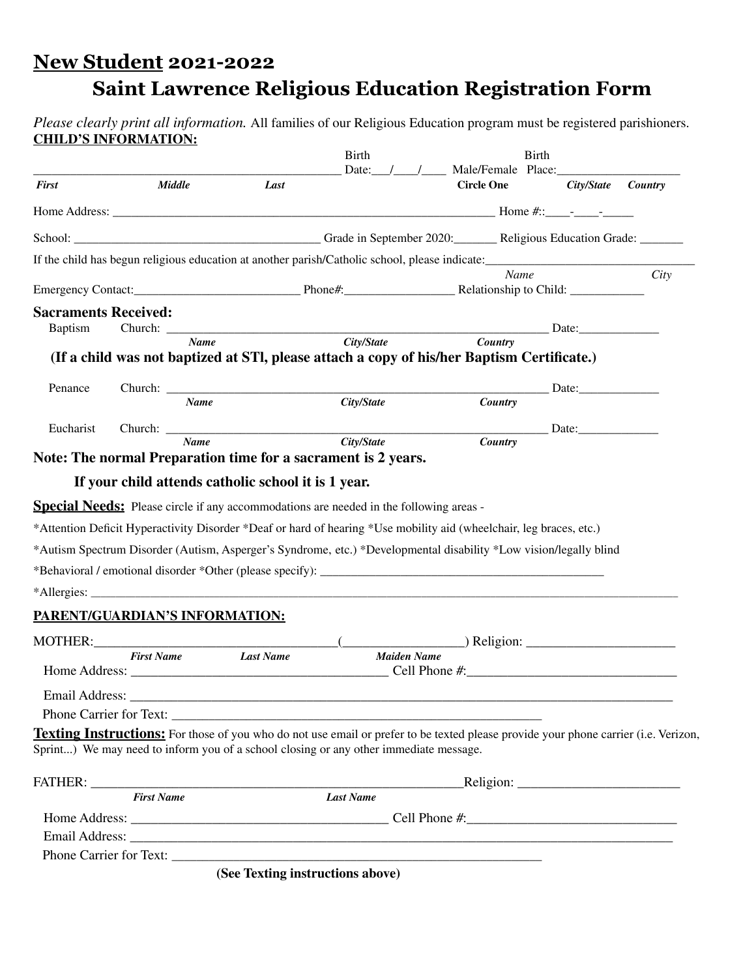## **New Student 2021-2022 Saint Lawrence Religious Education Registration Form**

*Please clearly print all information.* All families of our Religious Education program must be registered parishioners. **CHILD'S INFORMATION:**

|                                |                   |               |                                                     | <b>Birth</b><br>Date: $/$ /                                                           | Male/Female Place:                                                                                                                                                                                                                                                                                                                                    | <b>Birth</b>         |         |
|--------------------------------|-------------------|---------------|-----------------------------------------------------|---------------------------------------------------------------------------------------|-------------------------------------------------------------------------------------------------------------------------------------------------------------------------------------------------------------------------------------------------------------------------------------------------------------------------------------------------------|----------------------|---------|
| <b>First</b>                   |                   | <b>Middle</b> | Last                                                |                                                                                       | <b>Circle One</b>                                                                                                                                                                                                                                                                                                                                     | City/State           | Country |
|                                |                   |               |                                                     |                                                                                       |                                                                                                                                                                                                                                                                                                                                                       |                      |         |
|                                |                   |               |                                                     |                                                                                       |                                                                                                                                                                                                                                                                                                                                                       |                      |         |
|                                |                   |               |                                                     |                                                                                       | If the child has begun religious education at another parish/Catholic school, please indicate:                                                                                                                                                                                                                                                        |                      |         |
|                                |                   |               |                                                     |                                                                                       | Name                                                                                                                                                                                                                                                                                                                                                  |                      | City    |
|                                |                   |               |                                                     |                                                                                       | Emergency Contact: Contact: Phone#: Phone#: Relationship to Child:                                                                                                                                                                                                                                                                                    |                      |         |
| <b>Sacraments Received:</b>    |                   |               |                                                     |                                                                                       |                                                                                                                                                                                                                                                                                                                                                       |                      |         |
| <b>Baptism</b>                 |                   |               |                                                     |                                                                                       | Church: Name City/State Country Date: Date:                                                                                                                                                                                                                                                                                                           |                      |         |
|                                |                   |               |                                                     |                                                                                       | (If a child was not baptized at STI, please attach a copy of his/her Baptism Certificate.)                                                                                                                                                                                                                                                            |                      |         |
|                                |                   |               |                                                     |                                                                                       |                                                                                                                                                                                                                                                                                                                                                       |                      |         |
| Penance                        |                   |               |                                                     |                                                                                       |                                                                                                                                                                                                                                                                                                                                                       | Date:                |         |
|                                |                   | <b>Name</b>   |                                                     | City/State                                                                            | <b>Country</b>                                                                                                                                                                                                                                                                                                                                        |                      |         |
| Eucharist                      |                   |               |                                                     |                                                                                       |                                                                                                                                                                                                                                                                                                                                                       |                      |         |
|                                |                   | <b>Name</b>   |                                                     | City/State                                                                            | <b>Country</b>                                                                                                                                                                                                                                                                                                                                        |                      |         |
|                                |                   |               |                                                     | Note: The normal Preparation time for a sacrament is 2 years.                         |                                                                                                                                                                                                                                                                                                                                                       |                      |         |
|                                |                   |               | If your child attends catholic school it is 1 year. |                                                                                       |                                                                                                                                                                                                                                                                                                                                                       |                      |         |
|                                |                   |               |                                                     |                                                                                       | *Attention Deficit Hyperactivity Disorder *Deaf or hard of hearing *Use mobility aid (wheelchair, leg braces, etc.)<br>*Autism Spectrum Disorder (Autism, Asperger's Syndrome, etc.) *Developmental disability *Low vision/legally blind                                                                                                              |                      |         |
|                                |                   |               |                                                     |                                                                                       |                                                                                                                                                                                                                                                                                                                                                       |                      |         |
| PARENT/GUARDIAN'S INFORMATION: |                   |               |                                                     |                                                                                       |                                                                                                                                                                                                                                                                                                                                                       |                      |         |
|                                |                   |               |                                                     |                                                                                       | $MOTHER:$ $\qquad \qquad$ $\qquad \qquad$ $\qquad \qquad$ $\qquad \qquad$ $\qquad \qquad$ $\qquad$ $\qquad$ $\qquad$ $\qquad$ $\qquad$ $\qquad$ $\qquad$ $\qquad$ $\qquad$ $\qquad$ $\qquad$ $\qquad$ $\qquad$ $\qquad$ $\qquad$ $\qquad$ $\qquad$ $\qquad$ $\qquad$ $\qquad$ $\qquad$ $\qquad$ $\qquad$ $\qquad$ $\qquad$ $\qquad$ $\qquad$ $\qquad$ |                      |         |
|                                | <b>First Name</b> |               | <b>Last Name</b>                                    | <b>Maiden Name</b>                                                                    |                                                                                                                                                                                                                                                                                                                                                       |                      |         |
|                                |                   |               |                                                     |                                                                                       |                                                                                                                                                                                                                                                                                                                                                       |                      |         |
| Email Address:                 |                   |               |                                                     |                                                                                       |                                                                                                                                                                                                                                                                                                                                                       |                      |         |
|                                |                   |               |                                                     | Phone Carrier for Text:                                                               |                                                                                                                                                                                                                                                                                                                                                       |                      |         |
|                                |                   |               |                                                     |                                                                                       | <b>Texting Instructions:</b> For those of you who do not use email or prefer to be texted please provide your phone carrier (i.e. Verizon,                                                                                                                                                                                                            |                      |         |
|                                |                   |               |                                                     | Sprint) We may need to inform you of a school closing or any other immediate message. |                                                                                                                                                                                                                                                                                                                                                       |                      |         |
|                                |                   |               |                                                     |                                                                                       |                                                                                                                                                                                                                                                                                                                                                       |                      |         |
|                                |                   |               |                                                     |                                                                                       |                                                                                                                                                                                                                                                                                                                                                       | $\text{Religion:}\_$ |         |
|                                | <b>First Name</b> |               |                                                     | <b>Last Name</b>                                                                      |                                                                                                                                                                                                                                                                                                                                                       |                      |         |
|                                |                   |               |                                                     |                                                                                       |                                                                                                                                                                                                                                                                                                                                                       |                      |         |
|                                |                   |               |                                                     |                                                                                       |                                                                                                                                                                                                                                                                                                                                                       |                      |         |
|                                |                   |               |                                                     |                                                                                       |                                                                                                                                                                                                                                                                                                                                                       |                      |         |
|                                |                   |               |                                                     | (See Texting instructions above)                                                      |                                                                                                                                                                                                                                                                                                                                                       |                      |         |